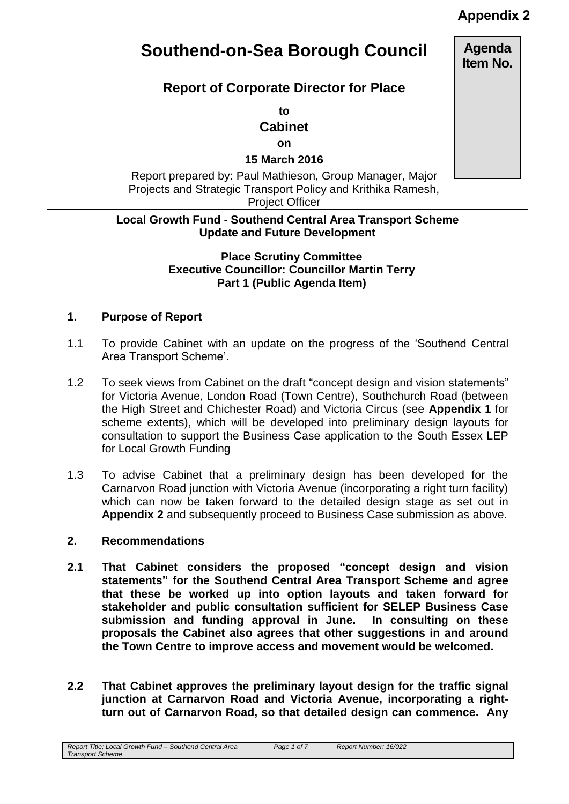# **Appendix 2**

# **Southend-on-Sea Borough Council**

# **Report of Corporate Director for Place**

**to Cabinet**

**on**

**15 March 2016**

Report prepared by: Paul Mathieson, Group Manager, Major Projects and Strategic Transport Policy and Krithika Ramesh, Project Officer

## **Local Growth Fund - Southend Central Area Transport Scheme Update and Future Development**

**Place Scrutiny Committee Executive Councillor: Councillor Martin Terry Part 1 (Public Agenda Item)** 

# **1. Purpose of Report**

- 1.1 To provide Cabinet with an update on the progress of the 'Southend Central Area Transport Scheme'.
- 1.2 To seek views from Cabinet on the draft "concept design and vision statements" for Victoria Avenue, London Road (Town Centre), Southchurch Road (between the High Street and Chichester Road) and Victoria Circus (see **Appendix 1** for scheme extents), which will be developed into preliminary design layouts for consultation to support the Business Case application to the South Essex LEP for Local Growth Funding
- 1.3 To advise Cabinet that a preliminary design has been developed for the Carnarvon Road junction with Victoria Avenue (incorporating a right turn facility) which can now be taken forward to the detailed design stage as set out in **Appendix 2** and subsequently proceed to Business Case submission as above.

## **2. Recommendations**

- **2.1 That Cabinet considers the proposed "concept design and vision statements" for the Southend Central Area Transport Scheme and agree that these be worked up into option layouts and taken forward for stakeholder and public consultation sufficient for SELEP Business Case submission and funding approval in June. In consulting on these proposals the Cabinet also agrees that other suggestions in and around the Town Centre to improve access and movement would be welcomed.**
- **2.2 That Cabinet approves the preliminary layout design for the traffic signal junction at Carnarvon Road and Victoria Avenue, incorporating a rightturn out of Carnarvon Road, so that detailed design can commence. Any**

*Report Title; Local Growth Fund – Southend Central Area Transport Scheme*

*Page 1 of 7 Report Number: 16/022*

**Agenda Item No.**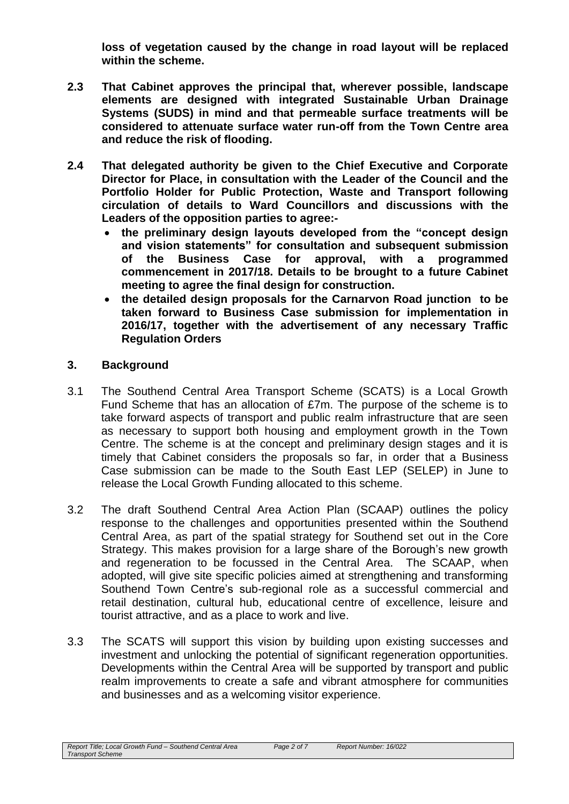**loss of vegetation caused by the change in road layout will be replaced within the scheme.**

- **2.3 That Cabinet approves the principal that, wherever possible, landscape elements are designed with integrated Sustainable Urban Drainage Systems (SUDS) in mind and that permeable surface treatments will be considered to attenuate surface water run-off from the Town Centre area and reduce the risk of flooding.**
- **2.4 That delegated authority be given to the Chief Executive and Corporate Director for Place, in consultation with the Leader of the Council and the Portfolio Holder for Public Protection, Waste and Transport following circulation of details to Ward Councillors and discussions with the Leaders of the opposition parties to agree:**
	- **the preliminary design layouts developed from the "concept design and vision statements" for consultation and subsequent submission of the Business Case for approval, with a programmed commencement in 2017/18. Details to be brought to a future Cabinet meeting to agree the final design for construction.**
	- **the detailed design proposals for the Carnarvon Road junction to be taken forward to Business Case submission for implementation in 2016/17, together with the advertisement of any necessary Traffic Regulation Orders**

# **3. Background**

- 3.1 The Southend Central Area Transport Scheme (SCATS) is a Local Growth Fund Scheme that has an allocation of £7m. The purpose of the scheme is to take forward aspects of transport and public realm infrastructure that are seen as necessary to support both housing and employment growth in the Town Centre. The scheme is at the concept and preliminary design stages and it is timely that Cabinet considers the proposals so far, in order that a Business Case submission can be made to the South East LEP (SELEP) in June to release the Local Growth Funding allocated to this scheme.
- 3.2 The draft Southend Central Area Action Plan (SCAAP) outlines the policy response to the challenges and opportunities presented within the Southend Central Area, as part of the spatial strategy for Southend set out in the Core Strategy. This makes provision for a large share of the Borough's new growth and regeneration to be focussed in the Central Area. The SCAAP, when adopted, will give site specific policies aimed at strengthening and transforming Southend Town Centre's sub-regional role as a successful commercial and retail destination, cultural hub, educational centre of excellence, leisure and tourist attractive, and as a place to work and live.
- 3.3 The SCATS will support this vision by building upon existing successes and investment and unlocking the potential of significant regeneration opportunities. Developments within the Central Area will be supported by transport and public realm improvements to create a safe and vibrant atmosphere for communities and businesses and as a welcoming visitor experience.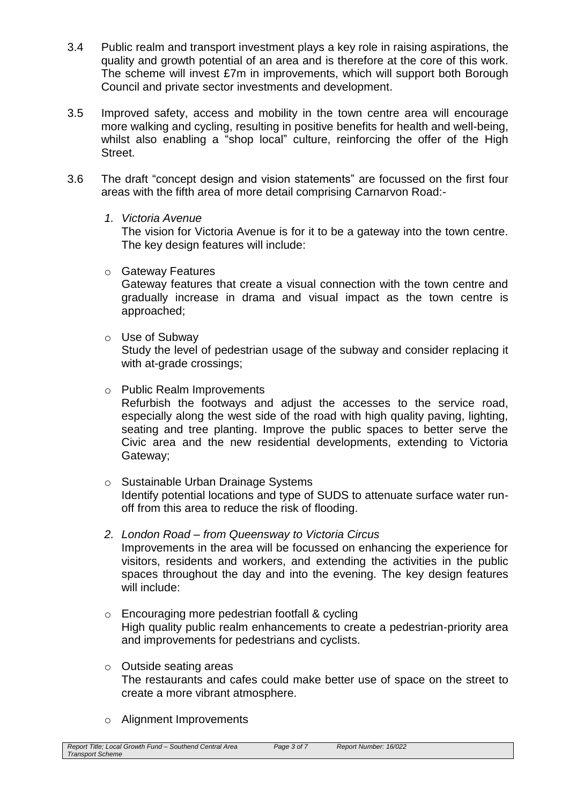- 3.4 Public realm and transport investment plays a key role in raising aspirations, the quality and growth potential of an area and is therefore at the core of this work. The scheme will invest £7m in improvements, which will support both Borough Council and private sector investments and development.
- 3.5 Improved safety, access and mobility in the town centre area will encourage more walking and cycling, resulting in positive benefits for health and well-being, whilst also enabling a "shop local" culture, reinforcing the offer of the High Street.
- 3.6 The draft "concept design and vision statements" are focussed on the first four areas with the fifth area of more detail comprising Carnarvon Road:-
	- *1. Victoria Avenue*

The vision for Victoria Avenue is for it to be a gateway into the town centre. The key design features will include:

o Gateway Features

Gateway features that create a visual connection with the town centre and gradually increase in drama and visual impact as the town centre is approached;

o Use of Subway

Study the level of pedestrian usage of the subway and consider replacing it with at-grade crossings;

o Public Realm Improvements

Refurbish the footways and adjust the accesses to the service road, especially along the west side of the road with high quality paving, lighting, seating and tree planting. Improve the public spaces to better serve the Civic area and the new residential developments, extending to Victoria Gateway;

- o Sustainable Urban Drainage Systems Identify potential locations and type of SUDS to attenuate surface water runoff from this area to reduce the risk of flooding.
- *2. London Road – from Queensway to Victoria Circus* Improvements in the area will be focussed on enhancing the experience for visitors, residents and workers, and extending the activities in the public spaces throughout the day and into the evening. The key design features will include:
- o Encouraging more pedestrian footfall & cycling High quality public realm enhancements to create a pedestrian-priority area and improvements for pedestrians and cyclists.
- o Outside seating areas The restaurants and cafes could make better use of space on the street to create a more vibrant atmosphere.
- o Alignment Improvements

| Report Title: Local Growth Fund - Southend Central Area | Page 3 of 7 | Report Number: 16/022 |
|---------------------------------------------------------|-------------|-----------------------|
| <b>Transport Scheme</b>                                 |             |                       |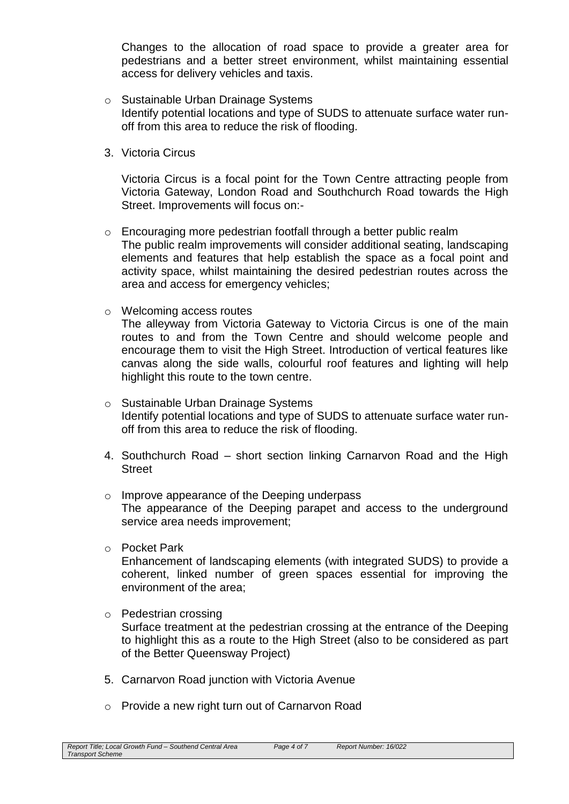Changes to the allocation of road space to provide a greater area for pedestrians and a better street environment, whilst maintaining essential access for delivery vehicles and taxis.

- o Sustainable Urban Drainage Systems Identify potential locations and type of SUDS to attenuate surface water runoff from this area to reduce the risk of flooding.
- 3. Victoria Circus

Victoria Circus is a focal point for the Town Centre attracting people from Victoria Gateway, London Road and Southchurch Road towards the High Street. Improvements will focus on:-

- o Encouraging more pedestrian footfall through a better public realm The public realm improvements will consider additional seating, landscaping elements and features that help establish the space as a focal point and activity space, whilst maintaining the desired pedestrian routes across the area and access for emergency vehicles;
- o Welcoming access routes

The alleyway from Victoria Gateway to Victoria Circus is one of the main routes to and from the Town Centre and should welcome people and encourage them to visit the High Street. Introduction of vertical features like canvas along the side walls, colourful roof features and lighting will help highlight this route to the town centre.

- o Sustainable Urban Drainage Systems Identify potential locations and type of SUDS to attenuate surface water runoff from this area to reduce the risk of flooding.
- 4. Southchurch Road short section linking Carnarvon Road and the High **Street**
- o Improve appearance of the Deeping underpass The appearance of the Deeping parapet and access to the underground service area needs improvement;
- o Pocket Park

Enhancement of landscaping elements (with integrated SUDS) to provide a coherent, linked number of green spaces essential for improving the environment of the area;

- o Pedestrian crossing Surface treatment at the pedestrian crossing at the entrance of the Deeping to highlight this as a route to the High Street (also to be considered as part of the Better Queensway Project)
- 5. Carnarvon Road junction with Victoria Avenue
- o Provide a new right turn out of Carnarvon Road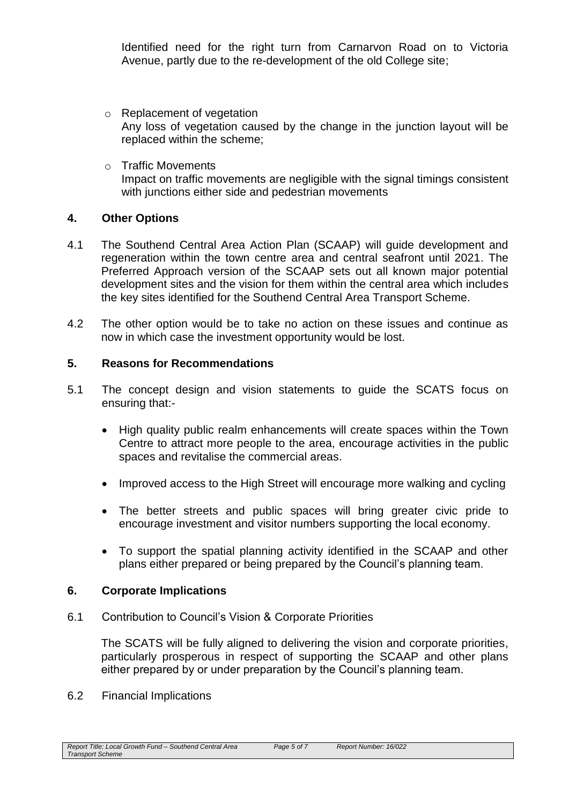Identified need for the right turn from Carnarvon Road on to Victoria Avenue, partly due to the re-development of the old College site;

- o Replacement of vegetation Any loss of vegetation caused by the change in the junction layout will be replaced within the scheme;
- o Traffic Movements Impact on traffic movements are negligible with the signal timings consistent with junctions either side and pedestrian movements

# **4. Other Options**

- 4.1 The Southend Central Area Action Plan (SCAAP) will guide development and regeneration within the town centre area and central seafront until 2021. The Preferred Approach version of the SCAAP sets out all known major potential development sites and the vision for them within the central area which includes the key sites identified for the Southend Central Area Transport Scheme.
- 4.2 The other option would be to take no action on these issues and continue as now in which case the investment opportunity would be lost.

# **5. Reasons for Recommendations**

- 5.1 The concept design and vision statements to guide the SCATS focus on ensuring that:-
	- High quality public realm enhancements will create spaces within the Town Centre to attract more people to the area, encourage activities in the public spaces and revitalise the commercial areas.
	- Improved access to the High Street will encourage more walking and cycling
	- The better streets and public spaces will bring greater civic pride to encourage investment and visitor numbers supporting the local economy.
	- To support the spatial planning activity identified in the SCAAP and other plans either prepared or being prepared by the Council's planning team.

#### **6. Corporate Implications**

6.1 Contribution to Council's Vision & Corporate Priorities

The SCATS will be fully aligned to delivering the vision and corporate priorities, particularly prosperous in respect of supporting the SCAAP and other plans either prepared by or under preparation by the Council's planning team.

6.2 Financial Implications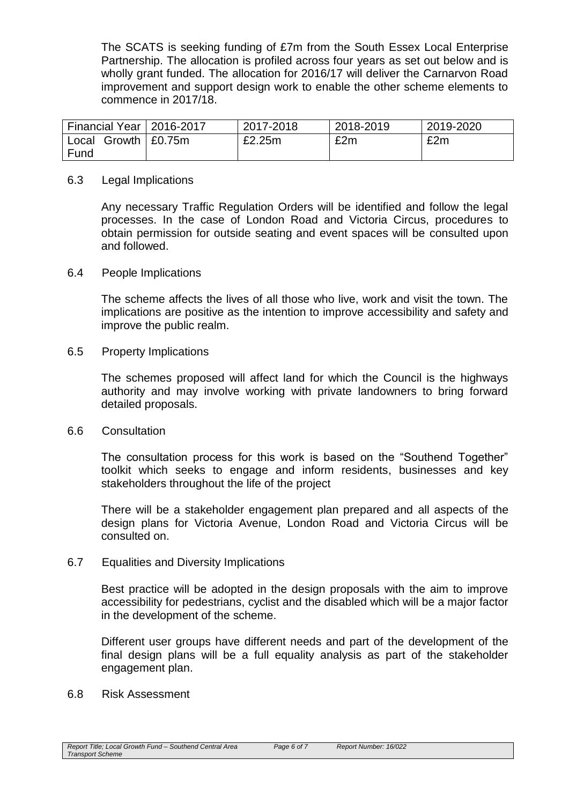The SCATS is seeking funding of £7m from the South Essex Local Enterprise Partnership. The allocation is profiled across four years as set out below and is wholly grant funded. The allocation for 2016/17 will deliver the Carnarvon Road improvement and support design work to enable the other scheme elements to commence in 2017/18.

| Financial Year   2016-2017     | 2017-2018 | 2018-2019 | 2019-2020 |
|--------------------------------|-----------|-----------|-----------|
| Growth $\vert$ £0.75m<br>Local | £2.25m    | £2m       | £2m       |
| Fund                           |           |           |           |

#### 6.3 Legal Implications

Any necessary Traffic Regulation Orders will be identified and follow the legal processes. In the case of London Road and Victoria Circus, procedures to obtain permission for outside seating and event spaces will be consulted upon and followed.

#### 6.4 People Implications

The scheme affects the lives of all those who live, work and visit the town. The implications are positive as the intention to improve accessibility and safety and improve the public realm.

#### 6.5 Property Implications

The schemes proposed will affect land for which the Council is the highways authority and may involve working with private landowners to bring forward detailed proposals.

#### 6.6 Consultation

The consultation process for this work is based on the "Southend Together" toolkit which seeks to engage and inform residents, businesses and key stakeholders throughout the life of the project

There will be a stakeholder engagement plan prepared and all aspects of the design plans for Victoria Avenue, London Road and Victoria Circus will be consulted on.

#### 6.7 Equalities and Diversity Implications

Best practice will be adopted in the design proposals with the aim to improve accessibility for pedestrians, cyclist and the disabled which will be a major factor in the development of the scheme.

Different user groups have different needs and part of the development of the final design plans will be a full equality analysis as part of the stakeholder engagement plan.

6.8 Risk Assessment